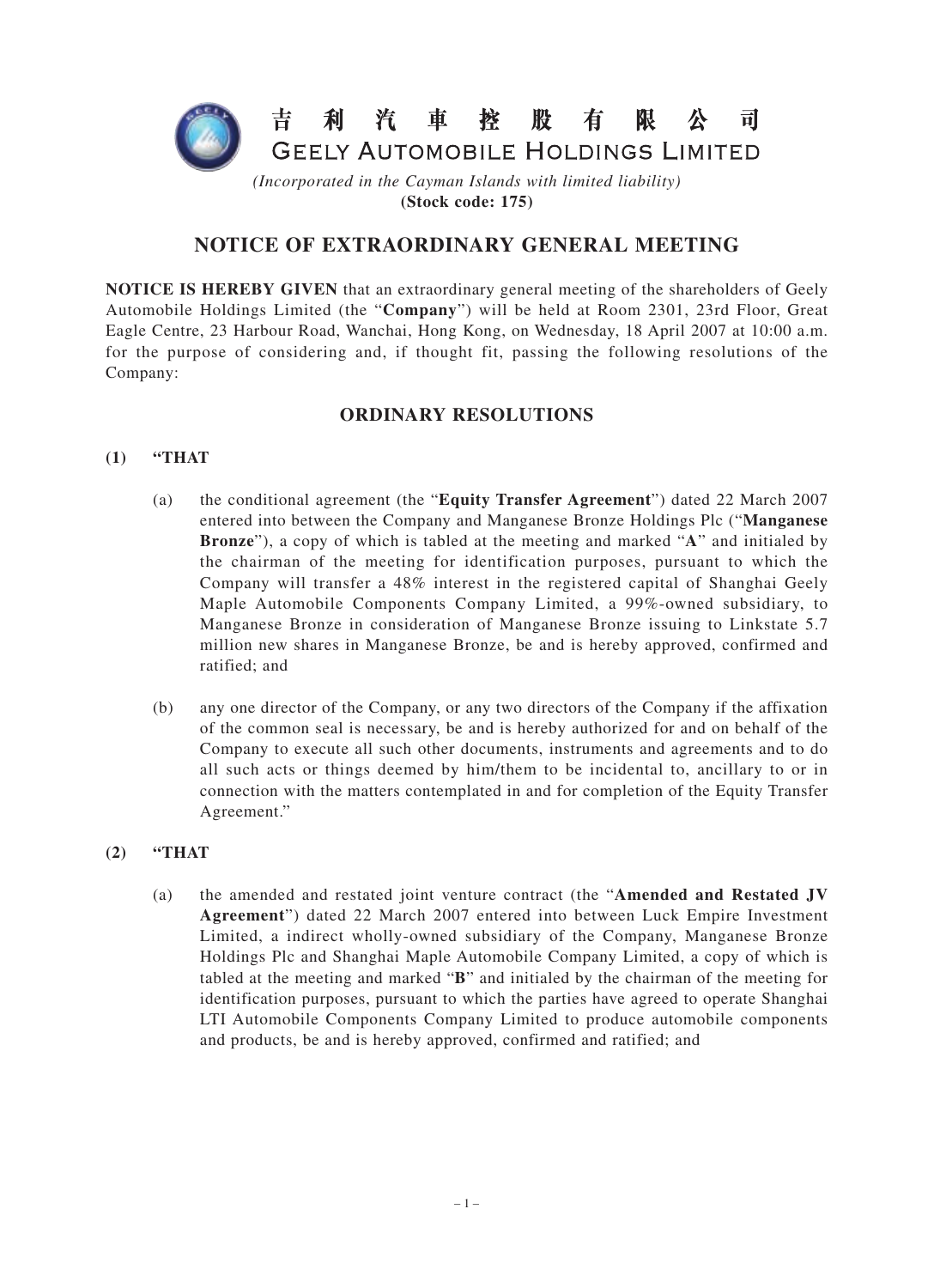

**(Stock code: 175)**

## **NOTICE OF EXTRAORDINARY GENERAL MEETING**

**NOTICE IS HEREBY GIVEN** that an extraordinary general meeting of the shareholders of Geely Automobile Holdings Limited (the "**Company**") will be held at Room 2301, 23rd Floor, Great Eagle Centre, 23 Harbour Road, Wanchai, Hong Kong, on Wednesday, 18 April 2007 at 10:00 a.m. for the purpose of considering and, if thought fit, passing the following resolutions of the Company:

### **ORDINARY RESOLUTIONS**

#### **(1) "THAT**

- (a) the conditional agreement (the "**Equity Transfer Agreement**") dated 22 March 2007 entered into between the Company and Manganese Bronze Holdings Plc ("**Manganese Bronze**"), a copy of which is tabled at the meeting and marked "**A**" and initialed by the chairman of the meeting for identification purposes, pursuant to which the Company will transfer a 48% interest in the registered capital of Shanghai Geely Maple Automobile Components Company Limited, a 99%-owned subsidiary, to Manganese Bronze in consideration of Manganese Bronze issuing to Linkstate 5.7 million new shares in Manganese Bronze, be and is hereby approved, confirmed and ratified; and
- (b) any one director of the Company, or any two directors of the Company if the affixation of the common seal is necessary, be and is hereby authorized for and on behalf of the Company to execute all such other documents, instruments and agreements and to do all such acts or things deemed by him/them to be incidental to, ancillary to or in connection with the matters contemplated in and for completion of the Equity Transfer Agreement."

#### **(2) "THAT**

(a) the amended and restated joint venture contract (the "**Amended and Restated JV Agreement**") dated 22 March 2007 entered into between Luck Empire Investment Limited, a indirect wholly-owned subsidiary of the Company, Manganese Bronze Holdings Plc and Shanghai Maple Automobile Company Limited, a copy of which is tabled at the meeting and marked "**B**" and initialed by the chairman of the meeting for identification purposes, pursuant to which the parties have agreed to operate Shanghai LTI Automobile Components Company Limited to produce automobile components and products, be and is hereby approved, confirmed and ratified; and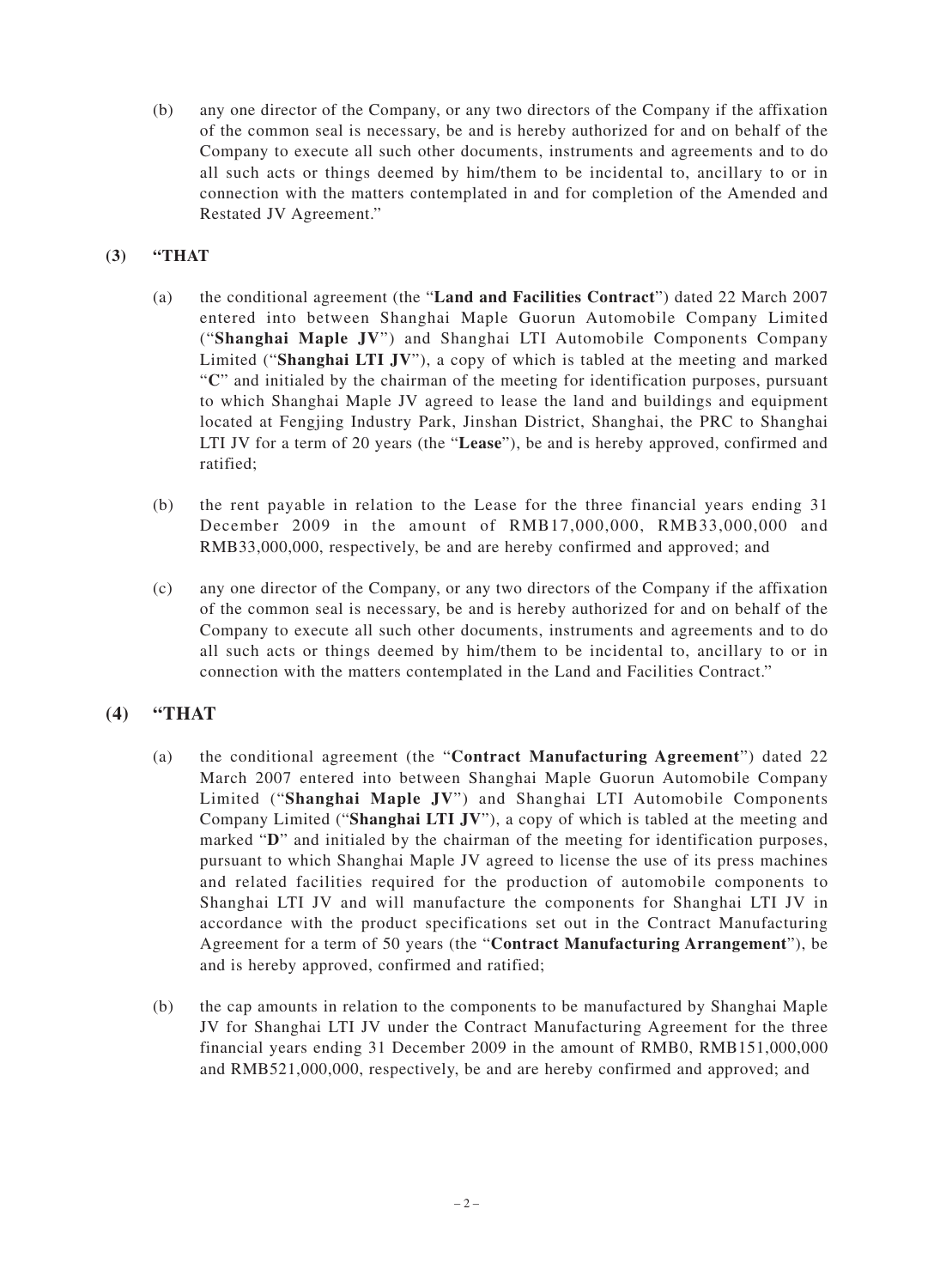(b) any one director of the Company, or any two directors of the Company if the affixation of the common seal is necessary, be and is hereby authorized for and on behalf of the Company to execute all such other documents, instruments and agreements and to do all such acts or things deemed by him/them to be incidental to, ancillary to or in connection with the matters contemplated in and for completion of the Amended and Restated JV Agreement."

#### **(3) "THAT**

- (a) the conditional agreement (the "**Land and Facilities Contract**") dated 22 March 2007 entered into between Shanghai Maple Guorun Automobile Company Limited ("**Shanghai Maple JV**") and Shanghai LTI Automobile Components Company Limited ("**Shanghai LTI JV**"), a copy of which is tabled at the meeting and marked "**C**" and initialed by the chairman of the meeting for identification purposes, pursuant to which Shanghai Maple JV agreed to lease the land and buildings and equipment located at Fengjing Industry Park, Jinshan District, Shanghai, the PRC to Shanghai LTI JV for a term of 20 years (the "**Lease**"), be and is hereby approved, confirmed and ratified;
- (b) the rent payable in relation to the Lease for the three financial years ending 31 December 2009 in the amount of RMB17,000,000, RMB33,000,000 and RMB33,000,000, respectively, be and are hereby confirmed and approved; and
- (c) any one director of the Company, or any two directors of the Company if the affixation of the common seal is necessary, be and is hereby authorized for and on behalf of the Company to execute all such other documents, instruments and agreements and to do all such acts or things deemed by him/them to be incidental to, ancillary to or in connection with the matters contemplated in the Land and Facilities Contract."

### **(4) "THAT**

- (a) the conditional agreement (the "**Contract Manufacturing Agreement**") dated 22 March 2007 entered into between Shanghai Maple Guorun Automobile Company Limited ("**Shanghai Maple JV**") and Shanghai LTI Automobile Components Company Limited ("**Shanghai LTI JV**"), a copy of which is tabled at the meeting and marked "D" and initialed by the chairman of the meeting for identification purposes, pursuant to which Shanghai Maple JV agreed to license the use of its press machines and related facilities required for the production of automobile components to Shanghai LTI JV and will manufacture the components for Shanghai LTI JV in accordance with the product specifications set out in the Contract Manufacturing Agreement for a term of 50 years (the "**Contract Manufacturing Arrangement**"), be and is hereby approved, confirmed and ratified;
- (b) the cap amounts in relation to the components to be manufactured by Shanghai Maple JV for Shanghai LTI JV under the Contract Manufacturing Agreement for the three financial years ending 31 December 2009 in the amount of RMB0, RMB151,000,000 and RMB521,000,000, respectively, be and are hereby confirmed and approved; and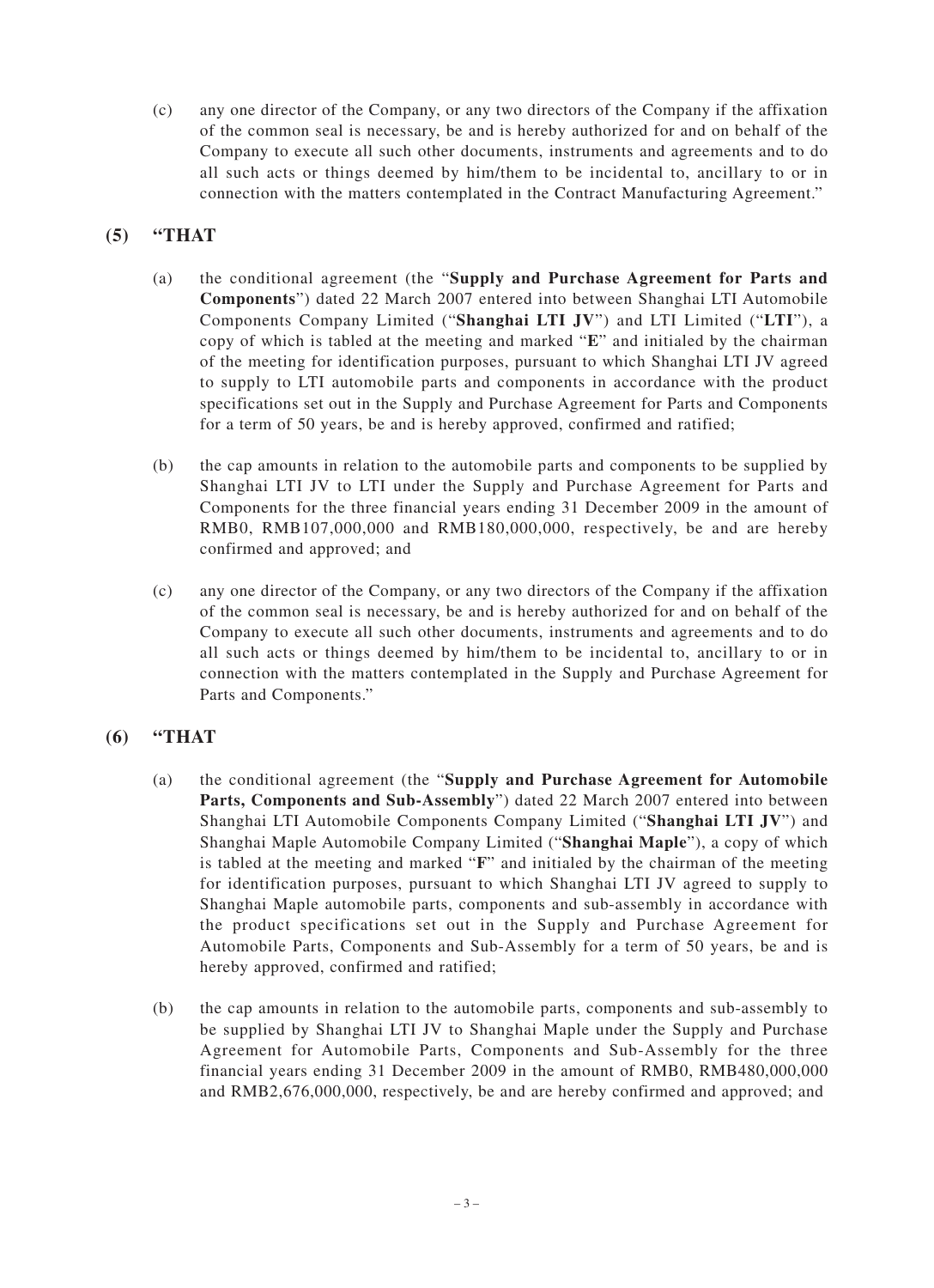(c) any one director of the Company, or any two directors of the Company if the affixation of the common seal is necessary, be and is hereby authorized for and on behalf of the Company to execute all such other documents, instruments and agreements and to do all such acts or things deemed by him/them to be incidental to, ancillary to or in connection with the matters contemplated in the Contract Manufacturing Agreement."

## **(5) "THAT**

- (a) the conditional agreement (the "**Supply and Purchase Agreement for Parts and Components**") dated 22 March 2007 entered into between Shanghai LTI Automobile Components Company Limited ("**Shanghai LTI JV**") and LTI Limited ("**LTI**"), a copy of which is tabled at the meeting and marked "**E**" and initialed by the chairman of the meeting for identification purposes, pursuant to which Shanghai LTI JV agreed to supply to LTI automobile parts and components in accordance with the product specifications set out in the Supply and Purchase Agreement for Parts and Components for a term of 50 years, be and is hereby approved, confirmed and ratified;
- (b) the cap amounts in relation to the automobile parts and components to be supplied by Shanghai LTI JV to LTI under the Supply and Purchase Agreement for Parts and Components for the three financial years ending 31 December 2009 in the amount of RMB0, RMB107,000,000 and RMB180,000,000, respectively, be and are hereby confirmed and approved; and
- (c) any one director of the Company, or any two directors of the Company if the affixation of the common seal is necessary, be and is hereby authorized for and on behalf of the Company to execute all such other documents, instruments and agreements and to do all such acts or things deemed by him/them to be incidental to, ancillary to or in connection with the matters contemplated in the Supply and Purchase Agreement for Parts and Components."

# **(6) "THAT**

- (a) the conditional agreement (the "**Supply and Purchase Agreement for Automobile Parts, Components and Sub-Assembly**") dated 22 March 2007 entered into between Shanghai LTI Automobile Components Company Limited ("**Shanghai LTI JV**") and Shanghai Maple Automobile Company Limited ("**Shanghai Maple**"), a copy of which is tabled at the meeting and marked "**F**" and initialed by the chairman of the meeting for identification purposes, pursuant to which Shanghai LTI JV agreed to supply to Shanghai Maple automobile parts, components and sub-assembly in accordance with the product specifications set out in the Supply and Purchase Agreement for Automobile Parts, Components and Sub-Assembly for a term of 50 years, be and is hereby approved, confirmed and ratified;
- (b) the cap amounts in relation to the automobile parts, components and sub-assembly to be supplied by Shanghai LTI JV to Shanghai Maple under the Supply and Purchase Agreement for Automobile Parts, Components and Sub-Assembly for the three financial years ending 31 December 2009 in the amount of RMB0, RMB480,000,000 and RMB2,676,000,000, respectively, be and are hereby confirmed and approved; and